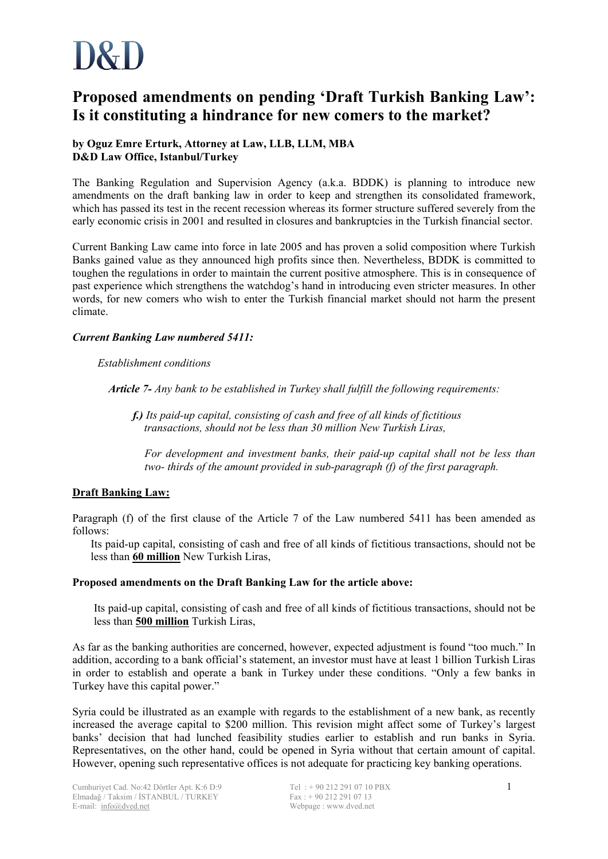# **Proposed amendments on pending 'Draft Turkish Banking Law': Is it constituting a hindrance for new comers to the market?**

# **by Oguz Emre Erturk, Attorney at Law, LLB, LLM, MBA D&D Law Office, Istanbul/Turkey**

The Banking Regulation and Supervision Agency (a.k.a. BDDK) is planning to introduce new amendments on the draft banking law in order to keep and strengthen its consolidated framework, which has passed its test in the recent recession whereas its former structure suffered severely from the early economic crisis in 2001 and resulted in closures and bankruptcies in the Turkish financial sector.

Current Banking Law came into force in late 2005 and has proven a solid composition where Turkish Banks gained value as they announced high profits since then. Nevertheless, BDDK is committed to toughen the regulations in order to maintain the current positive atmosphere. This is in consequence of past experience which strengthens the watchdog's hand in introducing even stricter measures. In other words, for new comers who wish to enter the Turkish financial market should not harm the present climate.

# *Current Banking Law numbered 5411:*

# *Establishment conditions*

*Article 7- Any bank to be established in Turkey shall fulfill the following requirements:* 

 *f.) Its paid-up capital, consisting of cash and free of all kinds of fictitious transactions, should not be less than 30 million New Turkish Liras,* 

*For development and investment banks, their paid-up capital shall not be less than two- thirds of the amount provided in sub-paragraph (f) of the first paragraph.* 

# **Draft Banking Law:**

Paragraph (f) of the first clause of the Article 7 of the Law numbered 5411 has been amended as follows:

Its paid-up capital, consisting of cash and free of all kinds of fictitious transactions, should not be less than **60 million** New Turkish Liras,

# **Proposed amendments on the Draft Banking Law for the article above:**

Its paid-up capital, consisting of cash and free of all kinds of fictitious transactions, should not be less than **500 million** Turkish Liras,

As far as the banking authorities are concerned, however, expected adjustment is found "too much." In addition, according to a bank official's statement, an investor must have at least 1 billion Turkish Liras in order to establish and operate a bank in Turkey under these conditions. "Only a few banks in Turkey have this capital power."

Syria could be illustrated as an example with regards to the establishment of a new bank, as recently increased the average capital to \$200 million. This revision might affect some of Turkey's largest banks' decision that had lunched feasibility studies earlier to establish and run banks in Syria. Representatives, on the other hand, could be opened in Syria without that certain amount of capital. However, opening such representative offices is not adequate for practicing key banking operations.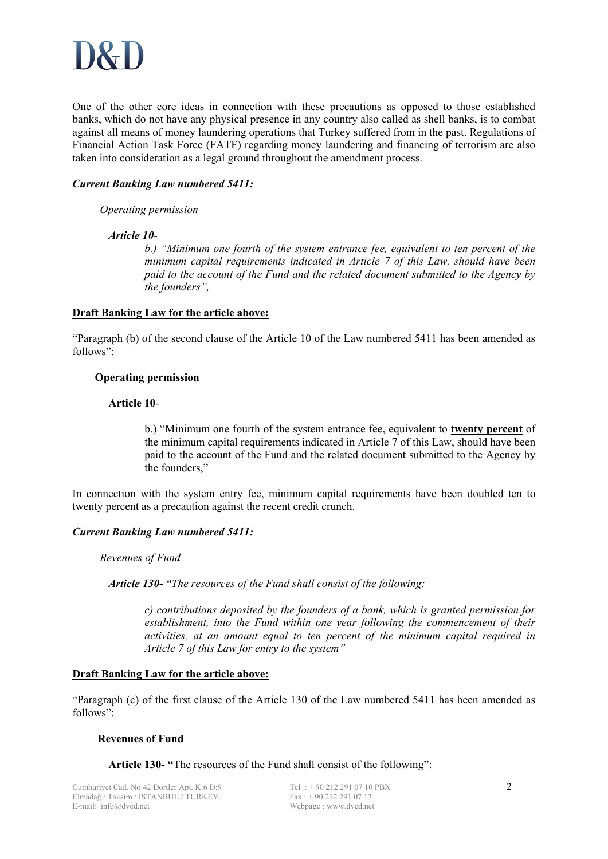

One of the other core ideas in connection with these precautions as opposed to those established banks, which do not have any physical presence in any country also called as shell banks, is to combat against all means of money laundering operations that Turkey suffered from in the past. Regulations of Financial Action Task Force (FATF) regarding money laundering and financing of terrorism are also taken into consideration as a legal ground throughout the amendment process.

### *Current Banking Law numbered 5411:*

#### *Operating permission*

#### *Article 10-*

*b.) "Minimum one fourth of the system entrance fee, equivalent to ten percent of the minimum capital requirements indicated in Article 7 of this Law, should have been paid to the account of the Fund and the related document submitted to the Agency by the founders",* 

#### **Draft Banking Law for the article above:**

"Paragraph (b) of the second clause of the Article 10 of the Law numbered 5411 has been amended as follows":

#### **Operating permission**

#### **Article 10**-

b.) "Minimum one fourth of the system entrance fee, equivalent to **twenty percent** of the minimum capital requirements indicated in Article 7 of this Law, should have been paid to the account of the Fund and the related document submitted to the Agency by the founders,"

In connection with the system entry fee, minimum capital requirements have been doubled ten to twenty percent as a precaution against the recent credit crunch.

#### *Current Banking Law numbered 5411:*

*Revenues of Fund* 

*Article 130- "The resources of the Fund shall consist of the following:* 

*c) contributions deposited by the founders of a bank, which is granted permission for establishment, into the Fund within one year following the commencement of their activities, at an amount equal to ten percent of the minimum capital required in Article 7 of this Law for entry to the system"* 

#### **Draft Banking Law for the article above:**

"Paragraph (c) of the first clause of the Article 130 of the Law numbered 5411 has been amended as follows":

#### **Revenues of Fund**

**Article 130- "**The resources of the Fund shall consist of the following":